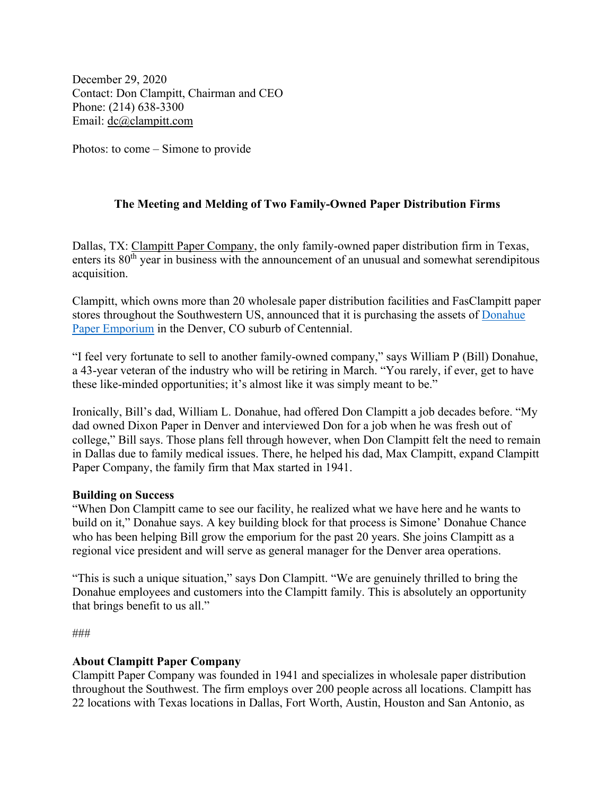December 29, 2020 Contact: Don Clampitt, Chairman and CEO Phone: (214) 638-3300 Email: [dc@clampitt.com](mailto:dc@clampitt.com)

Photos: to come – Simone to provide

## **The Meeting and Melding of Two Family-Owned Paper Distribution Firms**

Dallas, TX: [Clampitt Paper Company,](https://www.clampitt.com/) the only family-owned paper distribution firm in Texas, enters its  $80<sup>th</sup>$  year in business with the announcement of an unusual and somewhat serendipitous acquisition.

Clampitt, which owns more than 20 wholesale paper distribution facilities and FasClampitt paper stores throughout the Southwestern US, announced that it is purchasing the assets of [Donahue](https://www.donahuepaper.com/)  [Paper Emporium](https://www.donahuepaper.com/) in the Denver, CO suburb of Centennial.

"I feel very fortunate to sell to another family-owned company," says William P (Bill) Donahue, a 43-year veteran of the industry who will be retiring in March. "You rarely, if ever, get to have these like-minded opportunities; it's almost like it was simply meant to be."

Ironically, Bill's dad, William L. Donahue, had offered Don Clampitt a job decades before. "My dad owned Dixon Paper in Denver and interviewed Don for a job when he was fresh out of college," Bill says. Those plans fell through however, when Don Clampitt felt the need to remain in Dallas due to family medical issues. There, he helped his dad, Max Clampitt, expand Clampitt Paper Company, the family firm that Max started in 1941.

## **Building on Success**

"When Don Clampitt came to see our facility, he realized what we have here and he wants to build on it," Donahue says. A key building block for that process is Simone' Donahue Chance who has been helping Bill grow the emporium for the past 20 years. She joins Clampitt as a regional vice president and will serve as general manager for the Denver area operations.

"This is such a unique situation," says Don Clampitt. "We are genuinely thrilled to bring the Donahue employees and customers into the Clampitt family. This is absolutely an opportunity that brings benefit to us all."

###

## **About Clampitt Paper Company**

Clampitt Paper Company was founded in 1941 and specializes in wholesale paper distribution throughout the Southwest. The firm employs over 200 people across all locations. Clampitt has 22 locations with Texas locations in Dallas, Fort Worth, Austin, Houston and San Antonio, as